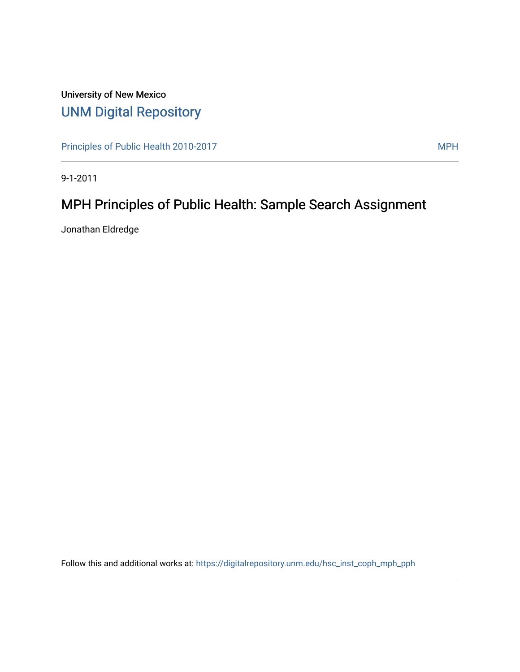## University of New Mexico [UNM Digital Repository](https://digitalrepository.unm.edu/)

[Principles of Public Health 2010-2017](https://digitalrepository.unm.edu/hsc_inst_coph_mph_pph) MPH

9-1-2011

# MPH Principles of Public Health: Sample Search Assignment

Jonathan Eldredge

Follow this and additional works at: [https://digitalrepository.unm.edu/hsc\\_inst\\_coph\\_mph\\_pph](https://digitalrepository.unm.edu/hsc_inst_coph_mph_pph?utm_source=digitalrepository.unm.edu%2Fhsc_inst_coph_mph_pph%2F15&utm_medium=PDF&utm_campaign=PDFCoverPages)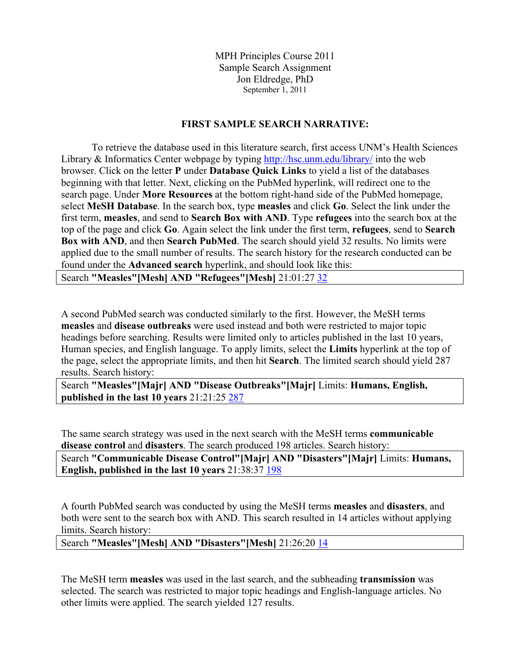MPH Principles Course 2011 Sample Search Assignment Jon Eldredge, PhD September 1, 2011

#### **FIRST SAMPLE SEARCH NARRATIVE:**

To retrieve the database used in this literature search, first access UNM's Health Sciences Library & Informatics Center webpage by typing<http://hsc.unm.edu/library/> into the web browser. Click on the letter **P** under **Database Quick Links** to yield a list of the databases beginning with that letter. Next, clicking on the PubMed hyperlink, will redirect one to the search page. Under **More Resources** at the bottom right-hand side of the PubMed homepage, select **MeSH Database**. In the search box, type **measles** and click **Go**. Select the link under the first term, **measles**, and send to **Search Box with AND**. Type **refugees** into the search box at the top of the page and click **Go**. Again select the link under the first term, **refugees**, send to **Search Box with AND**, and then **Search PubMed**. The search should yield 32 results. No limits were applied due to the small number of results. The search history for the research conducted can be found under the **Advanced search** hyperlink, and should look like this:

Search **"Measles"[Mesh] AND "Refugees"[Mesh]** 21:01:27 [32](http://www.ncbi.nlm.nih.gov.libproxy.unm.edu/pubmed/advanced?cmd=HistorySearch&querykey=5&)

A second PubMed search was conducted similarly to the first. However, the MeSH terms **measles** and **disease outbreaks** were used instead and both were restricted to major topic headings before searching. Results were limited only to articles published in the last 10 years, Human species, and English language. To apply limits, select the **Limits** hyperlink at the top of the page, select the appropriate limits, and then hit **Search**. The limited search should yield 287 results. Search history:

Search **"Measles"[Majr] AND "Disease Outbreaks"[Majr]** Limits: **Humans, English, published in the last 10 years** 21:21:25 [287](http://www.ncbi.nlm.nih.gov.libproxy.unm.edu/pubmed/advanced?cmd=HistorySearch&querykey=24&)

The same search strategy was used in the next search with the MeSH terms **communicable disease control** and **disasters**. The search produced 198 articles. Search history:

Search **"Communicable Disease Control"[Majr] AND "Disasters"[Majr]** Limits: **Humans, English, published in the last 10 years** 21:38:37 [198](http://www.ncbi.nlm.nih.gov.libproxy.unm.edu/pubmed/advanced?cmd=HistorySearch&querykey=45&)

A fourth PubMed search was conducted by using the MeSH terms **measles** and **disasters**, and both were sent to the search box with AND. This search resulted in 14 articles without applying limits. Search history:

Search **"Measles"[Mesh] AND "Disasters"[Mesh]** 21:26:20 [14](http://www.ncbi.nlm.nih.gov.libproxy.unm.edu/pubmed/advanced?cmd=HistorySearch&querykey=3&)

The MeSH term **measles** was used in the last search, and the subheading **transmission** was selected. The search was restricted to major topic headings and English-language articles. No other limits were applied. The search yielded 127 results.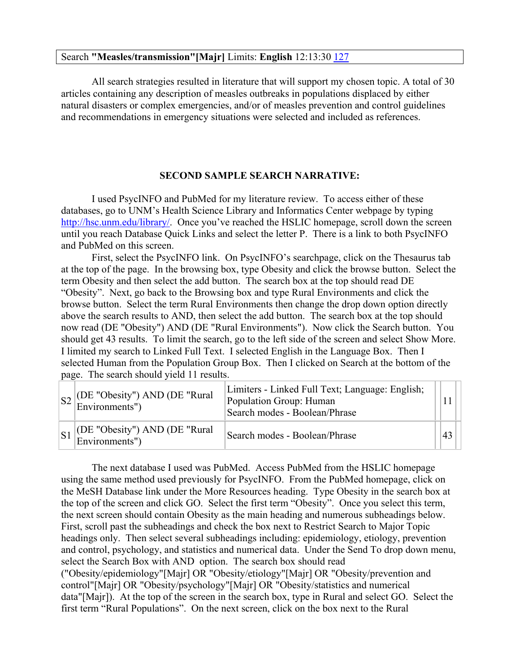### Search **"Measles/transmission"[Majr]** Limits: **English** 12:13:30 [127](http://www.ncbi.nlm.nih.gov/pubmed/advanced?cmd=HistorySearch&querykey=4&)

All search strategies resulted in literature that will support my chosen topic. A total of 30 articles containing any description of measles outbreaks in populations displaced by either natural disasters or complex emergencies, and/or of measles prevention and control guidelines and recommendations in emergency situations were selected and included as references.

## **SECOND SAMPLE SEARCH NARRATIVE:**

I used PsycINFO and PubMed for my literature review. To access either of these databases, go to UNM's Health Science Library and Informatics Center webpage by typing [http://hsc.unm.edu/library/.](http://hsc.unm.edu/library/) Once you've reached the HSLIC homepage, scroll down the screen until you reach Database Quick Links and select the letter P. There is a link to both PsycINFO and PubMed on this screen.

First, select the PsycINFO link. On PsycINFO's searchpage, click on the Thesaurus tab at the top of the page. In the browsing box, type Obesity and click the browse button. Select the term Obesity and then select the add button. The search box at the top should read DE "Obesity". Next, go back to the Browsing box and type Rural Environments and click the browse button. Select the term Rural Environments then change the drop down option directly above the search results to AND, then select the add button. The search box at the top should now read (DE "Obesity") AND (DE "Rural Environments"). Now click the Search button. You should get 43 results. To limit the search, go to the left side of the screen and select Show More. I limited my search to Linked Full Text. I selected English in the Language Box. Then I selected Human from the Population Group Box. Then I clicked on Search at the bottom of the page. The search should yield 11 results.

| $S2$ (DE "Obesity") AND (DE "Rural<br>Environments")                    | Limiters - Linked Full Text; Language: English;<br>Population Group: Human<br>Search modes - Boolean/Phrase |    |  |
|-------------------------------------------------------------------------|-------------------------------------------------------------------------------------------------------------|----|--|
| $\left  \text{S1} \right $ (DE "Obesity") AND (DE "Rural Environments") | Search modes - Boolean/Phrase                                                                               | 43 |  |

The next database I used was PubMed. Access PubMed from the HSLIC homepage using the same method used previously for PsycINFO. From the PubMed homepage, click on the MeSH Database link under the More Resources heading. Type Obesity in the search box at the top of the screen and click GO. Select the first term "Obesity". Once you select this term, the next screen should contain Obesity as the main heading and numerous subheadings below. First, scroll past the subheadings and check the box next to Restrict Search to Major Topic headings only. Then select several subheadings including: epidemiology, etiology, prevention and control, psychology, and statistics and numerical data. Under the Send To drop down menu, select the Search Box with AND option. The search box should read ("Obesity/epidemiology"[Majr] OR "Obesity/etiology"[Majr] OR "Obesity/prevention and control"[Majr] OR "Obesity/psychology"[Majr] OR "Obesity/statistics and numerical data"[Majr]). At the top of the screen in the search box, type in Rural and select GO. Select the first term "Rural Populations". On the next screen, click on the box next to the Rural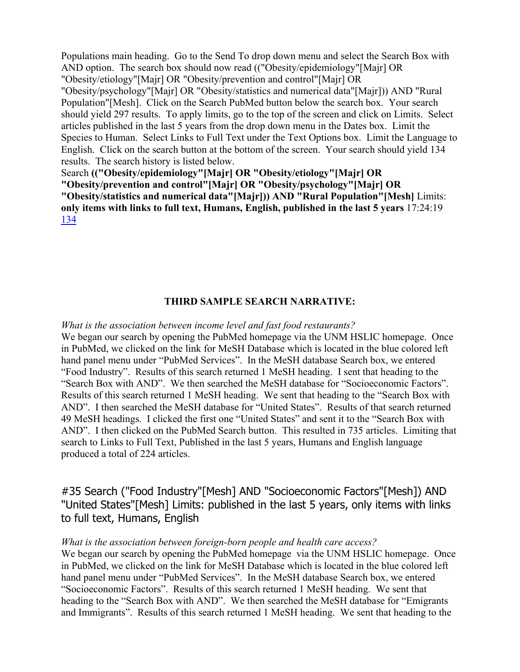Populations main heading. Go to the Send To drop down menu and select the Search Box with AND option. The search box should now read (("Obesity/epidemiology"[Majr] OR "Obesity/etiology"[Majr] OR "Obesity/prevention and control"[Majr] OR "Obesity/psychology"[Majr] OR "Obesity/statistics and numerical data"[Majr])) AND "Rural Population"[Mesh]. Click on the Search PubMed button below the search box. Your search should yield 297 results. To apply limits, go to the top of the screen and click on Limits. Select articles published in the last 5 years from the drop down menu in the Dates box. Limit the Species to Human. Select Links to Full Text under the Text Options box. Limit the Language to English. Click on the search button at the bottom of the screen. Your search should yield 134 results. The search history is listed below.

Search **(("Obesity/epidemiology"[Majr] OR "Obesity/etiology"[Majr] OR "Obesity/prevention and control"[Majr] OR "Obesity/psychology"[Majr] OR "Obesity/statistics and numerical data"[Majr])) AND "Rural Population"[Mesh]** Limits: **only items with links to full text, Humans, English, published in the last 5 years** 17:24:19 [134](http://www.ncbi.nlm.nih.gov.libproxy.unm.edu/pubmed/advanced?cmd=HistorySearch&querykey=7&)

## **THIRD SAMPLE SEARCH NARRATIVE:**

#### *What is the association between income level and fast food restaurants?*

We began our search by opening the PubMed homepage via the UNM HSLIC homepage. Once in PubMed, we clicked on the link for MeSH Database which is located in the blue colored left hand panel menu under "PubMed Services". In the MeSH database Search box, we entered "Food Industry". Results of this search returned 1 MeSH heading. I sent that heading to the "Search Box with AND". We then searched the MeSH database for "Socioeconomic Factors". Results of this search returned 1 MeSH heading. We sent that heading to the "Search Box with AND". I then searched the MeSH database for "United States". Results of that search returned 49 MeSH headings. I clicked the first one "United States" and sent it to the "Search Box with AND". I then clicked on the PubMed Search button. This resulted in 735 articles. Limiting that search to Links to Full Text, Published in the last 5 years, Humans and English language produced a total of 224 articles.

#35 Search ("Food Industry"[Mesh] AND "Socioeconomic Factors"[Mesh]) AND "United States"[Mesh] Limits: published in the last 5 years, only items with links to full text, Humans, English

#### *What is the association between foreign-born people and health care access?*

We began our search by opening the PubMed homepage via the UNM HSLIC homepage. Once in PubMed, we clicked on the link for MeSH Database which is located in the blue colored left hand panel menu under "PubMed Services". In the MeSH database Search box, we entered "Socioeconomic Factors". Results of this search returned 1 MeSH heading. We sent that heading to the "Search Box with AND". We then searched the MeSH database for "Emigrants and Immigrants". Results of this search returned 1 MeSH heading. We sent that heading to the